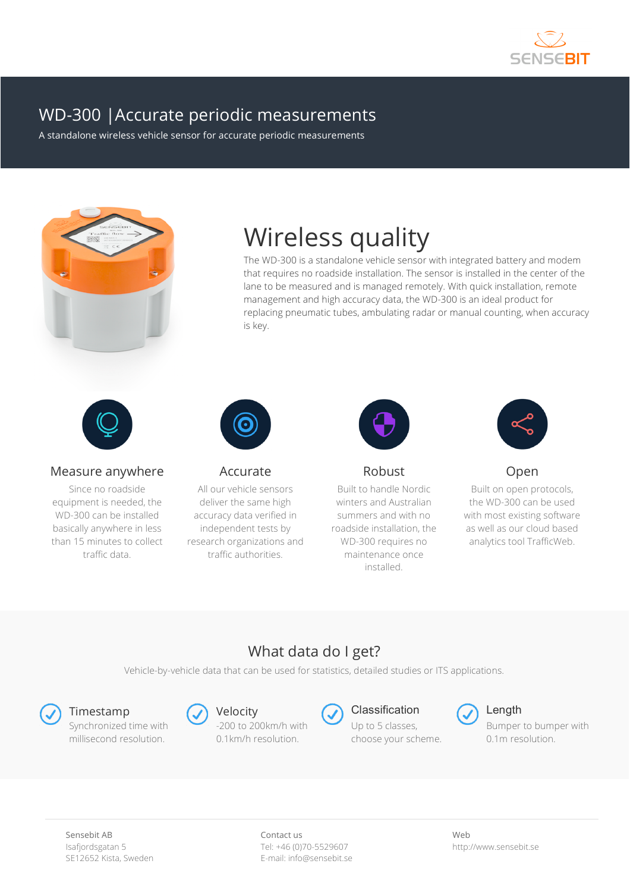

# WD-300 |Accurate periodic measurements

A standalone wireless vehicle sensor for accurate periodic measurements



# Wireless quality

The WD-300 is a standalone vehicle sensor with integrated battery and modem that requires no roadside installation. The sensor is installed in the center of the lane to be measured and is managed remotely. With quick installation, remote management and high accuracy data, the WD-300 is an ideal product for replacing pneumatic tubes, ambulating radar or manual counting, when accuracy is key.



#### Measure anywhere

Since no roadside equipment is needed, the WD-300 can be installed basically anywhere in less than 15 minutes to collect traffic data.



Accurate

All our vehicle sensors deliver the same high accuracy data verified in independent tests by research organizations and traffic authorities.



Robust

Built to handle Nordic winters and Australian summers and with no roadside installation, the WD-300 requires no maintenance once installed.



Open

Built on open protocols, the WD-300 can be used with most existing software as well as our cloud based analytics tool TrafficWeb.

# What data do I get?

Vehicle-by-vehicle data that can be used for statistics, detailed studies or ITS applications.



### Timestamp (a) Velocity (b) Classification (b) Length

Synchronized time with millisecond resolution.



-200 to 200km/h with 0.1km/h resolution.



Up to 5 classes, choose your scheme.



Bumper to bumper with 0.1m resolution.

Contact us Tel: +46 (0)70-5529607 E-mail: info@sensebit.se